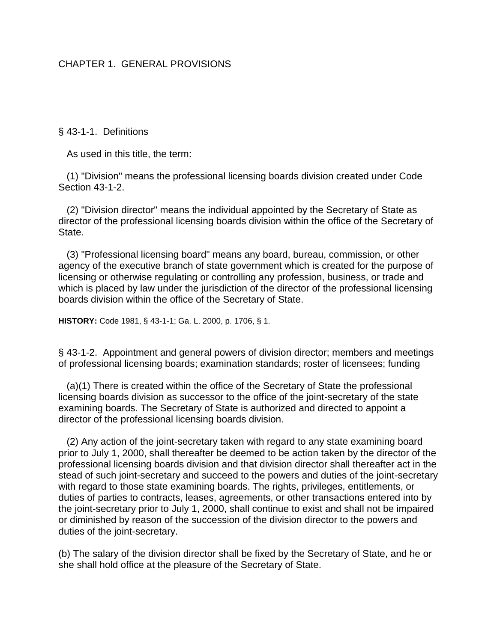# CHAPTER 1. GENERAL PROVISIONS

§ 43-1-1. Definitions

As used in this title, the term:

 (1) "Division" means the professional licensing boards division created under Code Section 43-1-2.

 (2) "Division director" means the individual appointed by the Secretary of State as director of the professional licensing boards division within the office of the Secretary of State.

 (3) "Professional licensing board" means any board, bureau, commission, or other agency of the executive branch of state government which is created for the purpose of licensing or otherwise regulating or controlling any profession, business, or trade and which is placed by law under the jurisdiction of the director of the professional licensing boards division within the office of the Secretary of State.

**HISTORY:** Code 1981, § 43-1-1; Ga. L. 2000, p. 1706, § 1.

§ 43-1-2. Appointment and general powers of division director; members and meetings of professional licensing boards; examination standards; roster of licensees; funding

 (a)(1) There is created within the office of the Secretary of State the professional licensing boards division as successor to the office of the joint-secretary of the state examining boards. The Secretary of State is authorized and directed to appoint a director of the professional licensing boards division.

 (2) Any action of the joint-secretary taken with regard to any state examining board prior to July 1, 2000, shall thereafter be deemed to be action taken by the director of the professional licensing boards division and that division director shall thereafter act in the stead of such joint-secretary and succeed to the powers and duties of the joint-secretary with regard to those state examining boards. The rights, privileges, entitlements, or duties of parties to contracts, leases, agreements, or other transactions entered into by the joint-secretary prior to July 1, 2000, shall continue to exist and shall not be impaired or diminished by reason of the succession of the division director to the powers and duties of the joint-secretary.

(b) The salary of the division director shall be fixed by the Secretary of State, and he or she shall hold office at the pleasure of the Secretary of State.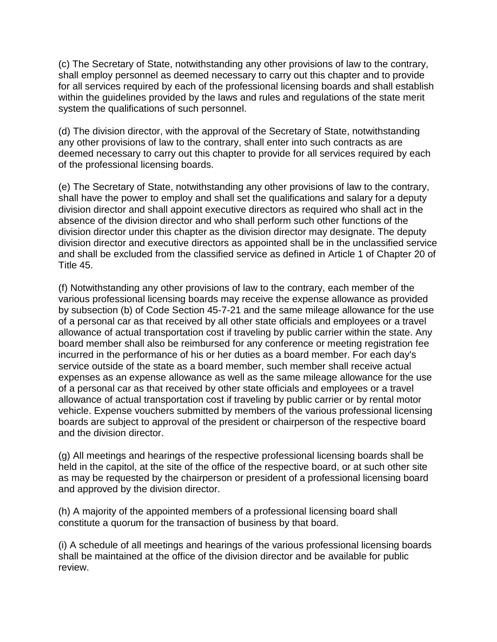(c) The Secretary of State, notwithstanding any other provisions of law to the contrary, shall employ personnel as deemed necessary to carry out this chapter and to provide for all services required by each of the professional licensing boards and shall establish within the guidelines provided by the laws and rules and regulations of the state merit system the qualifications of such personnel.

(d) The division director, with the approval of the Secretary of State, notwithstanding any other provisions of law to the contrary, shall enter into such contracts as are deemed necessary to carry out this chapter to provide for all services required by each of the professional licensing boards.

(e) The Secretary of State, notwithstanding any other provisions of law to the contrary, shall have the power to employ and shall set the qualifications and salary for a deputy division director and shall appoint executive directors as required who shall act in the absence of the division director and who shall perform such other functions of the division director under this chapter as the division director may designate. The deputy division director and executive directors as appointed shall be in the unclassified service and shall be excluded from the classified service as defined in Article 1 of Chapter 20 of Title 45.

(f) Notwithstanding any other provisions of law to the contrary, each member of the various professional licensing boards may receive the expense allowance as provided by subsection (b) of Code Section 45-7-21 and the same mileage allowance for the use of a personal car as that received by all other state officials and employees or a travel allowance of actual transportation cost if traveling by public carrier within the state. Any board member shall also be reimbursed for any conference or meeting registration fee incurred in the performance of his or her duties as a board member. For each day's service outside of the state as a board member, such member shall receive actual expenses as an expense allowance as well as the same mileage allowance for the use of a personal car as that received by other state officials and employees or a travel allowance of actual transportation cost if traveling by public carrier or by rental motor vehicle. Expense vouchers submitted by members of the various professional licensing boards are subject to approval of the president or chairperson of the respective board and the division director.

(g) All meetings and hearings of the respective professional licensing boards shall be held in the capitol, at the site of the office of the respective board, or at such other site as may be requested by the chairperson or president of a professional licensing board and approved by the division director.

(h) A majority of the appointed members of a professional licensing board shall constitute a quorum for the transaction of business by that board.

(i) A schedule of all meetings and hearings of the various professional licensing boards shall be maintained at the office of the division director and be available for public review.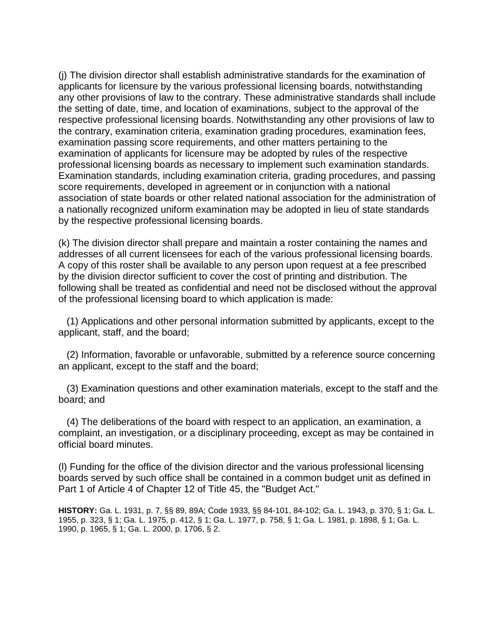(j) The division director shall establish administrative standards for the examination of applicants for licensure by the various professional licensing boards, notwithstanding any other provisions of law to the contrary. These administrative standards shall include the setting of date, time, and location of examinations, subject to the approval of the respective professional licensing boards. Notwithstanding any other provisions of law to the contrary, examination criteria, examination grading procedures, examination fees, examination passing score requirements, and other matters pertaining to the examination of applicants for licensure may be adopted by rules of the respective professional licensing boards as necessary to implement such examination standards. Examination standards, including examination criteria, grading procedures, and passing score requirements, developed in agreement or in conjunction with a national association of state boards or other related national association for the administration of a nationally recognized uniform examination may be adopted in lieu of state standards by the respective professional licensing boards.

(k) The division director shall prepare and maintain a roster containing the names and addresses of all current licensees for each of the various professional licensing boards. A copy of this roster shall be available to any person upon request at a fee prescribed by the division director sufficient to cover the cost of printing and distribution. The following shall be treated as confidential and need not be disclosed without the approval of the professional licensing board to which application is made:

 (1) Applications and other personal information submitted by applicants, except to the applicant, staff, and the board;

 (2) Information, favorable or unfavorable, submitted by a reference source concerning an applicant, except to the staff and the board;

 (3) Examination questions and other examination materials, except to the staff and the board; and

 (4) The deliberations of the board with respect to an application, an examination, a complaint, an investigation, or a disciplinary proceeding, except as may be contained in official board minutes.

(l) Funding for the office of the division director and the various professional licensing boards served by such office shall be contained in a common budget unit as defined in Part 1 of Article 4 of Chapter 12 of Title 45, the "Budget Act."

**HISTORY:** Ga. L. 1931, p. 7, §§ 89, 89A; Code 1933, §§ 84-101, 84-102; Ga. L. 1943, p. 370, § 1; Ga. L. 1955, p. 323, § 1; Ga. L. 1975, p. 412, § 1; Ga. L. 1977, p. 758, § 1; Ga. L. 1981, p. 1898, § 1; Ga. L. 1990, p. 1965, § 1; Ga. L. 2000, p. 1706, § 2.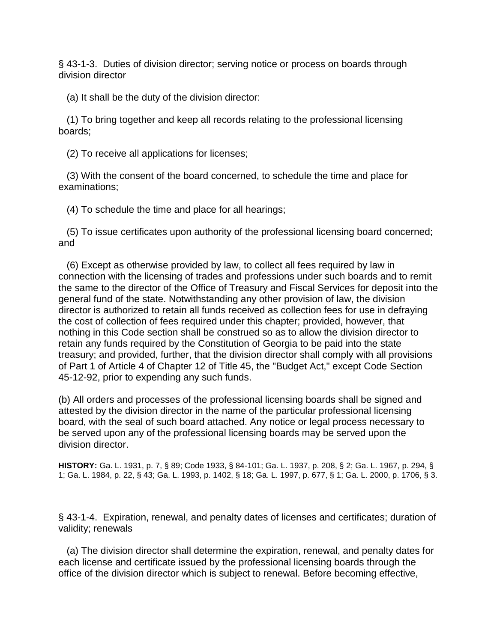§ 43-1-3. Duties of division director; serving notice or process on boards through division director

(a) It shall be the duty of the division director:

 (1) To bring together and keep all records relating to the professional licensing boards;

(2) To receive all applications for licenses;

 (3) With the consent of the board concerned, to schedule the time and place for examinations;

(4) To schedule the time and place for all hearings;

 (5) To issue certificates upon authority of the professional licensing board concerned; and

 (6) Except as otherwise provided by law, to collect all fees required by law in connection with the licensing of trades and professions under such boards and to remit the same to the director of the Office of Treasury and Fiscal Services for deposit into the general fund of the state. Notwithstanding any other provision of law, the division director is authorized to retain all funds received as collection fees for use in defraying the cost of collection of fees required under this chapter; provided, however, that nothing in this Code section shall be construed so as to allow the division director to retain any funds required by the Constitution of Georgia to be paid into the state treasury; and provided, further, that the division director shall comply with all provisions of Part 1 of Article 4 of Chapter 12 of Title 45, the "Budget Act," except Code Section 45-12-92, prior to expending any such funds.

(b) All orders and processes of the professional licensing boards shall be signed and attested by the division director in the name of the particular professional licensing board, with the seal of such board attached. Any notice or legal process necessary to be served upon any of the professional licensing boards may be served upon the division director.

**HISTORY:** Ga. L. 1931, p. 7, § 89; Code 1933, § 84-101; Ga. L. 1937, p. 208, § 2; Ga. L. 1967, p. 294, § 1; Ga. L. 1984, p. 22, § 43; Ga. L. 1993, p. 1402, § 18; Ga. L. 1997, p. 677, § 1; Ga. L. 2000, p. 1706, § 3.

§ 43-1-4. Expiration, renewal, and penalty dates of licenses and certificates; duration of validity; renewals

 (a) The division director shall determine the expiration, renewal, and penalty dates for each license and certificate issued by the professional licensing boards through the office of the division director which is subject to renewal. Before becoming effective,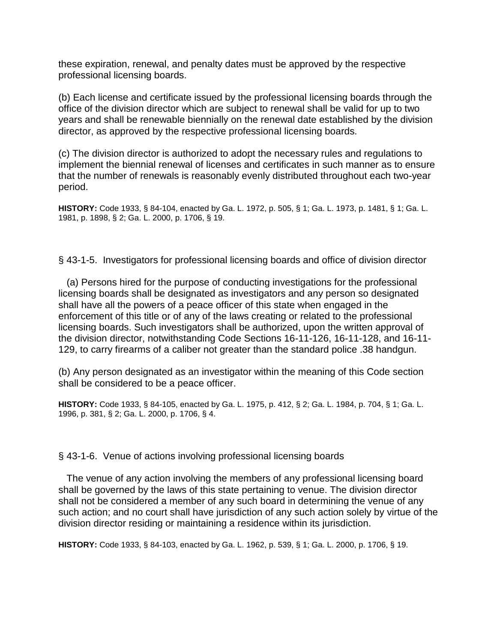these expiration, renewal, and penalty dates must be approved by the respective professional licensing boards.

(b) Each license and certificate issued by the professional licensing boards through the office of the division director which are subject to renewal shall be valid for up to two years and shall be renewable biennially on the renewal date established by the division director, as approved by the respective professional licensing boards.

(c) The division director is authorized to adopt the necessary rules and regulations to implement the biennial renewal of licenses and certificates in such manner as to ensure that the number of renewals is reasonably evenly distributed throughout each two-year period.

**HISTORY:** Code 1933, § 84-104, enacted by Ga. L. 1972, p. 505, § 1; Ga. L. 1973, p. 1481, § 1; Ga. L. 1981, p. 1898, § 2; Ga. L. 2000, p. 1706, § 19.

§ 43-1-5. Investigators for professional licensing boards and office of division director

 (a) Persons hired for the purpose of conducting investigations for the professional licensing boards shall be designated as investigators and any person so designated shall have all the powers of a peace officer of this state when engaged in the enforcement of this title or of any of the laws creating or related to the professional licensing boards. Such investigators shall be authorized, upon the written approval of the division director, notwithstanding Code Sections 16-11-126, 16-11-128, and 16-11- 129, to carry firearms of a caliber not greater than the standard police .38 handgun.

(b) Any person designated as an investigator within the meaning of this Code section shall be considered to be a peace officer.

**HISTORY:** Code 1933, § 84-105, enacted by Ga. L. 1975, p. 412, § 2; Ga. L. 1984, p. 704, § 1; Ga. L. 1996, p. 381, § 2; Ga. L. 2000, p. 1706, § 4.

§ 43-1-6. Venue of actions involving professional licensing boards

 The venue of any action involving the members of any professional licensing board shall be governed by the laws of this state pertaining to venue. The division director shall not be considered a member of any such board in determining the venue of any such action; and no court shall have jurisdiction of any such action solely by virtue of the division director residing or maintaining a residence within its jurisdiction.

**HISTORY:** Code 1933, § 84-103, enacted by Ga. L. 1962, p. 539, § 1; Ga. L. 2000, p. 1706, § 19.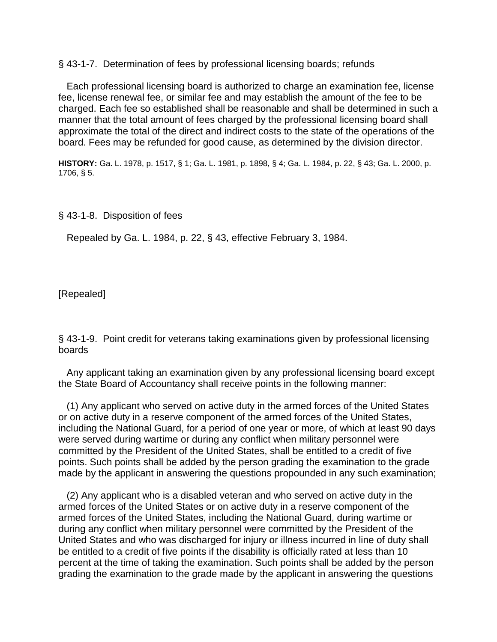§ 43-1-7. Determination of fees by professional licensing boards; refunds

 Each professional licensing board is authorized to charge an examination fee, license fee, license renewal fee, or similar fee and may establish the amount of the fee to be charged. Each fee so established shall be reasonable and shall be determined in such a manner that the total amount of fees charged by the professional licensing board shall approximate the total of the direct and indirect costs to the state of the operations of the board. Fees may be refunded for good cause, as determined by the division director.

**HISTORY:** Ga. L. 1978, p. 1517, § 1; Ga. L. 1981, p. 1898, § 4; Ga. L. 1984, p. 22, § 43; Ga. L. 2000, p. 1706, § 5.

§ 43-1-8. Disposition of fees

Repealed by Ga. L. 1984, p. 22, § 43, effective February 3, 1984.

[Repealed]

§ 43-1-9. Point credit for veterans taking examinations given by professional licensing boards

 Any applicant taking an examination given by any professional licensing board except the State Board of Accountancy shall receive points in the following manner:

 (1) Any applicant who served on active duty in the armed forces of the United States or on active duty in a reserve component of the armed forces of the United States, including the National Guard, for a period of one year or more, of which at least 90 days were served during wartime or during any conflict when military personnel were committed by the President of the United States, shall be entitled to a credit of five points. Such points shall be added by the person grading the examination to the grade made by the applicant in answering the questions propounded in any such examination;

 (2) Any applicant who is a disabled veteran and who served on active duty in the armed forces of the United States or on active duty in a reserve component of the armed forces of the United States, including the National Guard, during wartime or during any conflict when military personnel were committed by the President of the United States and who was discharged for injury or illness incurred in line of duty shall be entitled to a credit of five points if the disability is officially rated at less than 10 percent at the time of taking the examination. Such points shall be added by the person grading the examination to the grade made by the applicant in answering the questions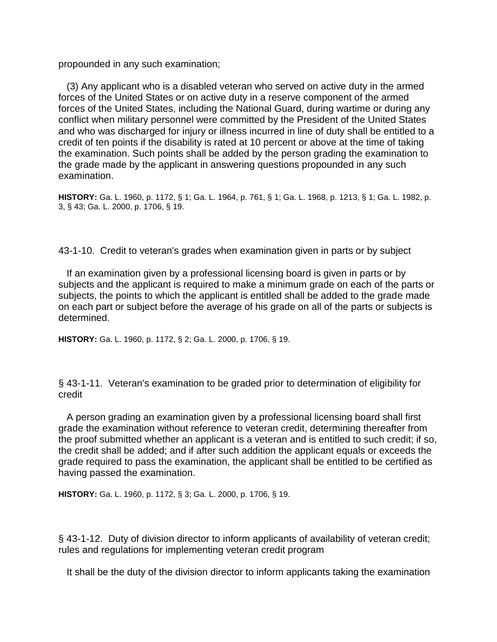propounded in any such examination;

 (3) Any applicant who is a disabled veteran who served on active duty in the armed forces of the United States or on active duty in a reserve component of the armed forces of the United States, including the National Guard, during wartime or during any conflict when military personnel were committed by the President of the United States and who was discharged for injury or illness incurred in line of duty shall be entitled to a credit of ten points if the disability is rated at 10 percent or above at the time of taking the examination. Such points shall be added by the person grading the examination to the grade made by the applicant in answering questions propounded in any such examination.

**HISTORY:** Ga. L. 1960, p. 1172, § 1; Ga. L. 1964, p. 761, § 1; Ga. L. 1968, p. 1213, § 1; Ga. L. 1982, p. 3, § 43; Ga. L. 2000, p. 1706, § 19.

43-1-10. Credit to veteran's grades when examination given in parts or by subject

 If an examination given by a professional licensing board is given in parts or by subjects and the applicant is required to make a minimum grade on each of the parts or subjects, the points to which the applicant is entitled shall be added to the grade made on each part or subject before the average of his grade on all of the parts or subjects is determined.

**HISTORY:** Ga. L. 1960, p. 1172, § 2; Ga. L. 2000, p. 1706, § 19.

§ 43-1-11. Veteran's examination to be graded prior to determination of eligibility for credit

 A person grading an examination given by a professional licensing board shall first grade the examination without reference to veteran credit, determining thereafter from the proof submitted whether an applicant is a veteran and is entitled to such credit; if so, the credit shall be added; and if after such addition the applicant equals or exceeds the grade required to pass the examination, the applicant shall be entitled to be certified as having passed the examination.

**HISTORY:** Ga. L. 1960, p. 1172, § 3; Ga. L. 2000, p. 1706, § 19.

§ 43-1-12. Duty of division director to inform applicants of availability of veteran credit; rules and regulations for implementing veteran credit program

It shall be the duty of the division director to inform applicants taking the examination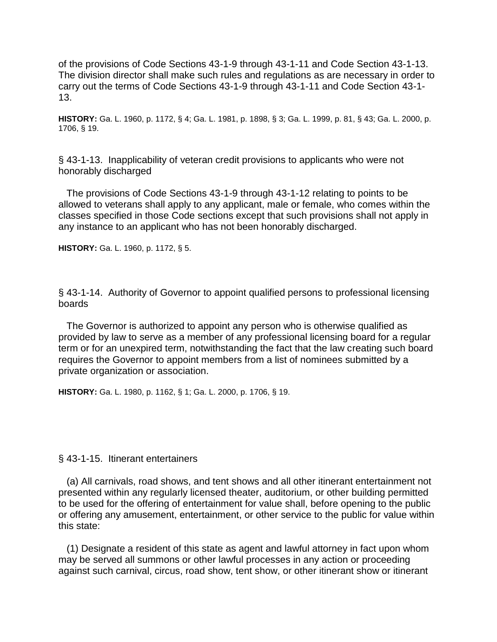of the provisions of Code Sections 43-1-9 through 43-1-11 and Code Section 43-1-13. The division director shall make such rules and regulations as are necessary in order to carry out the terms of Code Sections 43-1-9 through 43-1-11 and Code Section 43-1- 13.

**HISTORY:** Ga. L. 1960, p. 1172, § 4; Ga. L. 1981, p. 1898, § 3; Ga. L. 1999, p. 81, § 43; Ga. L. 2000, p. 1706, § 19.

§ 43-1-13. Inapplicability of veteran credit provisions to applicants who were not honorably discharged

 The provisions of Code Sections 43-1-9 through 43-1-12 relating to points to be allowed to veterans shall apply to any applicant, male or female, who comes within the classes specified in those Code sections except that such provisions shall not apply in any instance to an applicant who has not been honorably discharged.

**HISTORY:** Ga. L. 1960, p. 1172, § 5.

§ 43-1-14. Authority of Governor to appoint qualified persons to professional licensing boards

 The Governor is authorized to appoint any person who is otherwise qualified as provided by law to serve as a member of any professional licensing board for a regular term or for an unexpired term, notwithstanding the fact that the law creating such board requires the Governor to appoint members from a list of nominees submitted by a private organization or association.

**HISTORY:** Ga. L. 1980, p. 1162, § 1; Ga. L. 2000, p. 1706, § 19.

#### § 43-1-15. Itinerant entertainers

 (a) All carnivals, road shows, and tent shows and all other itinerant entertainment not presented within any regularly licensed theater, auditorium, or other building permitted to be used for the offering of entertainment for value shall, before opening to the public or offering any amusement, entertainment, or other service to the public for value within this state:

 (1) Designate a resident of this state as agent and lawful attorney in fact upon whom may be served all summons or other lawful processes in any action or proceeding against such carnival, circus, road show, tent show, or other itinerant show or itinerant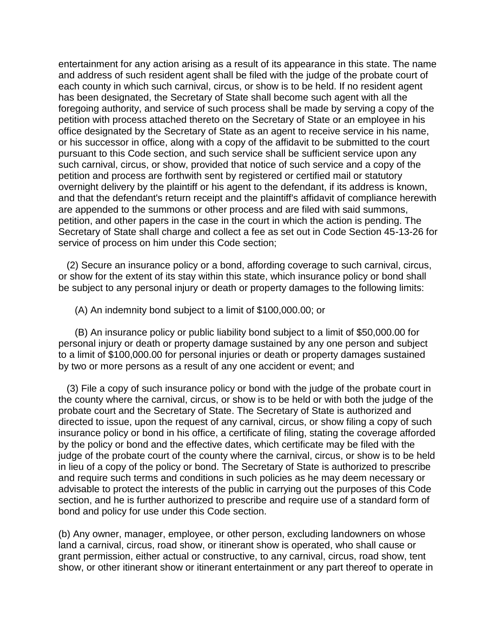entertainment for any action arising as a result of its appearance in this state. The name and address of such resident agent shall be filed with the judge of the probate court of each county in which such carnival, circus, or show is to be held. If no resident agent has been designated, the Secretary of State shall become such agent with all the foregoing authority, and service of such process shall be made by serving a copy of the petition with process attached thereto on the Secretary of State or an employee in his office designated by the Secretary of State as an agent to receive service in his name, or his successor in office, along with a copy of the affidavit to be submitted to the court pursuant to this Code section, and such service shall be sufficient service upon any such carnival, circus, or show, provided that notice of such service and a copy of the petition and process are forthwith sent by registered or certified mail or statutory overnight delivery by the plaintiff or his agent to the defendant, if its address is known, and that the defendant's return receipt and the plaintiff's affidavit of compliance herewith are appended to the summons or other process and are filed with said summons, petition, and other papers in the case in the court in which the action is pending. The Secretary of State shall charge and collect a fee as set out in Code Section 45-13-26 for service of process on him under this Code section;

 (2) Secure an insurance policy or a bond, affording coverage to such carnival, circus, or show for the extent of its stay within this state, which insurance policy or bond shall be subject to any personal injury or death or property damages to the following limits:

(A) An indemnity bond subject to a limit of \$100,000.00; or

 (B) An insurance policy or public liability bond subject to a limit of \$50,000.00 for personal injury or death or property damage sustained by any one person and subject to a limit of \$100,000.00 for personal injuries or death or property damages sustained by two or more persons as a result of any one accident or event; and

 (3) File a copy of such insurance policy or bond with the judge of the probate court in the county where the carnival, circus, or show is to be held or with both the judge of the probate court and the Secretary of State. The Secretary of State is authorized and directed to issue, upon the request of any carnival, circus, or show filing a copy of such insurance policy or bond in his office, a certificate of filing, stating the coverage afforded by the policy or bond and the effective dates, which certificate may be filed with the judge of the probate court of the county where the carnival, circus, or show is to be held in lieu of a copy of the policy or bond. The Secretary of State is authorized to prescribe and require such terms and conditions in such policies as he may deem necessary or advisable to protect the interests of the public in carrying out the purposes of this Code section, and he is further authorized to prescribe and require use of a standard form of bond and policy for use under this Code section.

(b) Any owner, manager, employee, or other person, excluding landowners on whose land a carnival, circus, road show, or itinerant show is operated, who shall cause or grant permission, either actual or constructive, to any carnival, circus, road show, tent show, or other itinerant show or itinerant entertainment or any part thereof to operate in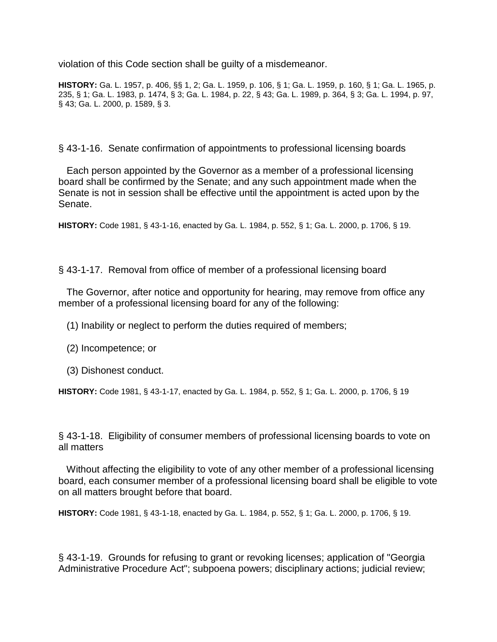violation of this Code section shall be guilty of a misdemeanor.

**HISTORY:** Ga. L. 1957, p. 406, §§ 1, 2; Ga. L. 1959, p. 106, § 1; Ga. L. 1959, p. 160, § 1; Ga. L. 1965, p. 235, § 1; Ga. L. 1983, p. 1474, § 3; Ga. L. 1984, p. 22, § 43; Ga. L. 1989, p. 364, § 3; Ga. L. 1994, p. 97, § 43; Ga. L. 2000, p. 1589, § 3.

§ 43-1-16. Senate confirmation of appointments to professional licensing boards

 Each person appointed by the Governor as a member of a professional licensing board shall be confirmed by the Senate; and any such appointment made when the Senate is not in session shall be effective until the appointment is acted upon by the Senate.

**HISTORY:** Code 1981, § 43-1-16, enacted by Ga. L. 1984, p. 552, § 1; Ga. L. 2000, p. 1706, § 19.

§ 43-1-17. Removal from office of member of a professional licensing board

 The Governor, after notice and opportunity for hearing, may remove from office any member of a professional licensing board for any of the following:

(1) Inability or neglect to perform the duties required of members;

- (2) Incompetence; or
- (3) Dishonest conduct.

**HISTORY:** Code 1981, § 43-1-17, enacted by Ga. L. 1984, p. 552, § 1; Ga. L. 2000, p. 1706, § 19

§ 43-1-18. Eligibility of consumer members of professional licensing boards to vote on all matters

 Without affecting the eligibility to vote of any other member of a professional licensing board, each consumer member of a professional licensing board shall be eligible to vote on all matters brought before that board.

**HISTORY:** Code 1981, § 43-1-18, enacted by Ga. L. 1984, p. 552, § 1; Ga. L. 2000, p. 1706, § 19.

§ 43-1-19. Grounds for refusing to grant or revoking licenses; application of "Georgia Administrative Procedure Act"; subpoena powers; disciplinary actions; judicial review;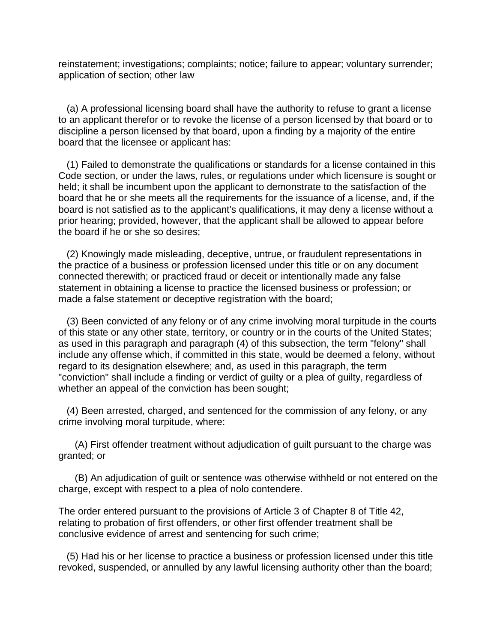reinstatement; investigations; complaints; notice; failure to appear; voluntary surrender; application of section; other law

 (a) A professional licensing board shall have the authority to refuse to grant a license to an applicant therefor or to revoke the license of a person licensed by that board or to discipline a person licensed by that board, upon a finding by a majority of the entire board that the licensee or applicant has:

 (1) Failed to demonstrate the qualifications or standards for a license contained in this Code section, or under the laws, rules, or regulations under which licensure is sought or held; it shall be incumbent upon the applicant to demonstrate to the satisfaction of the board that he or she meets all the requirements for the issuance of a license, and, if the board is not satisfied as to the applicant's qualifications, it may deny a license without a prior hearing; provided, however, that the applicant shall be allowed to appear before the board if he or she so desires;

 (2) Knowingly made misleading, deceptive, untrue, or fraudulent representations in the practice of a business or profession licensed under this title or on any document connected therewith; or practiced fraud or deceit or intentionally made any false statement in obtaining a license to practice the licensed business or profession; or made a false statement or deceptive registration with the board;

 (3) Been convicted of any felony or of any crime involving moral turpitude in the courts of this state or any other state, territory, or country or in the courts of the United States; as used in this paragraph and paragraph (4) of this subsection, the term "felony" shall include any offense which, if committed in this state, would be deemed a felony, without regard to its designation elsewhere; and, as used in this paragraph, the term "conviction" shall include a finding or verdict of guilty or a plea of guilty, regardless of whether an appeal of the conviction has been sought;

 (4) Been arrested, charged, and sentenced for the commission of any felony, or any crime involving moral turpitude, where:

 (A) First offender treatment without adjudication of guilt pursuant to the charge was granted; or

 (B) An adjudication of guilt or sentence was otherwise withheld or not entered on the charge, except with respect to a plea of nolo contendere.

The order entered pursuant to the provisions of Article 3 of Chapter 8 of Title 42, relating to probation of first offenders, or other first offender treatment shall be conclusive evidence of arrest and sentencing for such crime;

 (5) Had his or her license to practice a business or profession licensed under this title revoked, suspended, or annulled by any lawful licensing authority other than the board;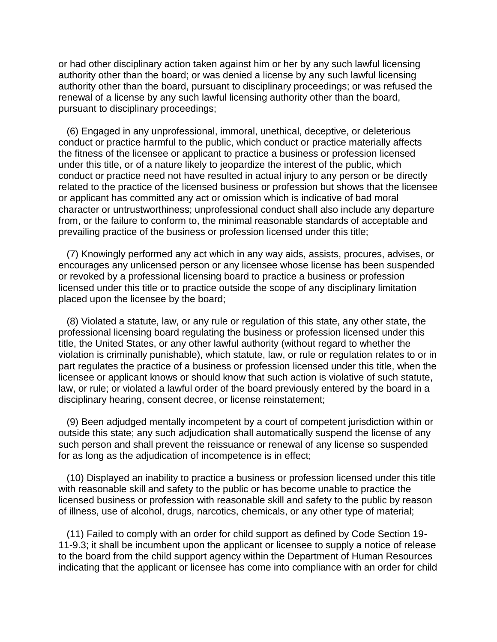or had other disciplinary action taken against him or her by any such lawful licensing authority other than the board; or was denied a license by any such lawful licensing authority other than the board, pursuant to disciplinary proceedings; or was refused the renewal of a license by any such lawful licensing authority other than the board, pursuant to disciplinary proceedings;

 (6) Engaged in any unprofessional, immoral, unethical, deceptive, or deleterious conduct or practice harmful to the public, which conduct or practice materially affects the fitness of the licensee or applicant to practice a business or profession licensed under this title, or of a nature likely to jeopardize the interest of the public, which conduct or practice need not have resulted in actual injury to any person or be directly related to the practice of the licensed business or profession but shows that the licensee or applicant has committed any act or omission which is indicative of bad moral character or untrustworthiness; unprofessional conduct shall also include any departure from, or the failure to conform to, the minimal reasonable standards of acceptable and prevailing practice of the business or profession licensed under this title;

 (7) Knowingly performed any act which in any way aids, assists, procures, advises, or encourages any unlicensed person or any licensee whose license has been suspended or revoked by a professional licensing board to practice a business or profession licensed under this title or to practice outside the scope of any disciplinary limitation placed upon the licensee by the board;

 (8) Violated a statute, law, or any rule or regulation of this state, any other state, the professional licensing board regulating the business or profession licensed under this title, the United States, or any other lawful authority (without regard to whether the violation is criminally punishable), which statute, law, or rule or regulation relates to or in part regulates the practice of a business or profession licensed under this title, when the licensee or applicant knows or should know that such action is violative of such statute, law, or rule; or violated a lawful order of the board previously entered by the board in a disciplinary hearing, consent decree, or license reinstatement;

 (9) Been adjudged mentally incompetent by a court of competent jurisdiction within or outside this state; any such adjudication shall automatically suspend the license of any such person and shall prevent the reissuance or renewal of any license so suspended for as long as the adjudication of incompetence is in effect;

 (10) Displayed an inability to practice a business or profession licensed under this title with reasonable skill and safety to the public or has become unable to practice the licensed business or profession with reasonable skill and safety to the public by reason of illness, use of alcohol, drugs, narcotics, chemicals, or any other type of material;

 (11) Failed to comply with an order for child support as defined by Code Section 19- 11-9.3; it shall be incumbent upon the applicant or licensee to supply a notice of release to the board from the child support agency within the Department of Human Resources indicating that the applicant or licensee has come into compliance with an order for child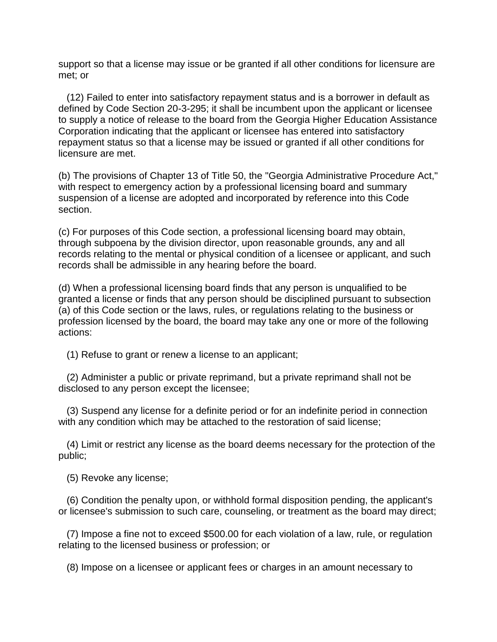support so that a license may issue or be granted if all other conditions for licensure are met; or

 (12) Failed to enter into satisfactory repayment status and is a borrower in default as defined by Code Section 20-3-295; it shall be incumbent upon the applicant or licensee to supply a notice of release to the board from the Georgia Higher Education Assistance Corporation indicating that the applicant or licensee has entered into satisfactory repayment status so that a license may be issued or granted if all other conditions for licensure are met.

(b) The provisions of Chapter 13 of Title 50, the "Georgia Administrative Procedure Act," with respect to emergency action by a professional licensing board and summary suspension of a license are adopted and incorporated by reference into this Code section.

(c) For purposes of this Code section, a professional licensing board may obtain, through subpoena by the division director, upon reasonable grounds, any and all records relating to the mental or physical condition of a licensee or applicant, and such records shall be admissible in any hearing before the board.

(d) When a professional licensing board finds that any person is unqualified to be granted a license or finds that any person should be disciplined pursuant to subsection (a) of this Code section or the laws, rules, or regulations relating to the business or profession licensed by the board, the board may take any one or more of the following actions:

(1) Refuse to grant or renew a license to an applicant;

 (2) Administer a public or private reprimand, but a private reprimand shall not be disclosed to any person except the licensee;

 (3) Suspend any license for a definite period or for an indefinite period in connection with any condition which may be attached to the restoration of said license;

 (4) Limit or restrict any license as the board deems necessary for the protection of the public;

(5) Revoke any license;

 (6) Condition the penalty upon, or withhold formal disposition pending, the applicant's or licensee's submission to such care, counseling, or treatment as the board may direct;

 (7) Impose a fine not to exceed \$500.00 for each violation of a law, rule, or regulation relating to the licensed business or profession; or

(8) Impose on a licensee or applicant fees or charges in an amount necessary to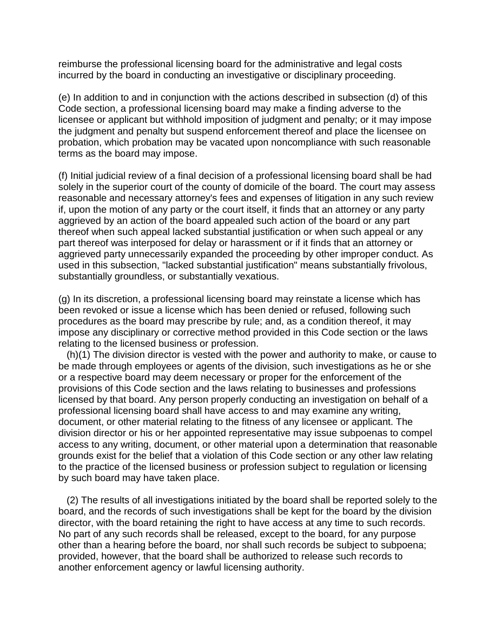reimburse the professional licensing board for the administrative and legal costs incurred by the board in conducting an investigative or disciplinary proceeding.

(e) In addition to and in conjunction with the actions described in subsection (d) of this Code section, a professional licensing board may make a finding adverse to the licensee or applicant but withhold imposition of judgment and penalty; or it may impose the judgment and penalty but suspend enforcement thereof and place the licensee on probation, which probation may be vacated upon noncompliance with such reasonable terms as the board may impose.

(f) Initial judicial review of a final decision of a professional licensing board shall be had solely in the superior court of the county of domicile of the board. The court may assess reasonable and necessary attorney's fees and expenses of litigation in any such review if, upon the motion of any party or the court itself, it finds that an attorney or any party aggrieved by an action of the board appealed such action of the board or any part thereof when such appeal lacked substantial justification or when such appeal or any part thereof was interposed for delay or harassment or if it finds that an attorney or aggrieved party unnecessarily expanded the proceeding by other improper conduct. As used in this subsection, "lacked substantial justification" means substantially frivolous, substantially groundless, or substantially vexatious.

(g) In its discretion, a professional licensing board may reinstate a license which has been revoked or issue a license which has been denied or refused, following such procedures as the board may prescribe by rule; and, as a condition thereof, it may impose any disciplinary or corrective method provided in this Code section or the laws relating to the licensed business or profession.

 (h)(1) The division director is vested with the power and authority to make, or cause to be made through employees or agents of the division, such investigations as he or she or a respective board may deem necessary or proper for the enforcement of the provisions of this Code section and the laws relating to businesses and professions licensed by that board. Any person properly conducting an investigation on behalf of a professional licensing board shall have access to and may examine any writing, document, or other material relating to the fitness of any licensee or applicant. The division director or his or her appointed representative may issue subpoenas to compel access to any writing, document, or other material upon a determination that reasonable grounds exist for the belief that a violation of this Code section or any other law relating to the practice of the licensed business or profession subject to regulation or licensing by such board may have taken place.

 (2) The results of all investigations initiated by the board shall be reported solely to the board, and the records of such investigations shall be kept for the board by the division director, with the board retaining the right to have access at any time to such records. No part of any such records shall be released, except to the board, for any purpose other than a hearing before the board, nor shall such records be subject to subpoena; provided, however, that the board shall be authorized to release such records to another enforcement agency or lawful licensing authority.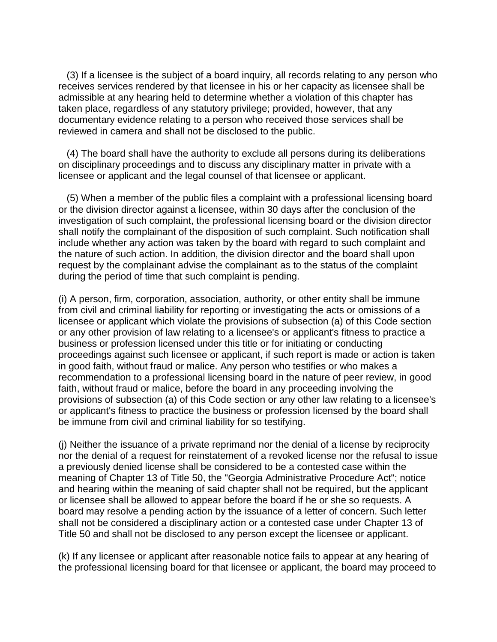(3) If a licensee is the subject of a board inquiry, all records relating to any person who receives services rendered by that licensee in his or her capacity as licensee shall be admissible at any hearing held to determine whether a violation of this chapter has taken place, regardless of any statutory privilege; provided, however, that any documentary evidence relating to a person who received those services shall be reviewed in camera and shall not be disclosed to the public.

 (4) The board shall have the authority to exclude all persons during its deliberations on disciplinary proceedings and to discuss any disciplinary matter in private with a licensee or applicant and the legal counsel of that licensee or applicant.

 (5) When a member of the public files a complaint with a professional licensing board or the division director against a licensee, within 30 days after the conclusion of the investigation of such complaint, the professional licensing board or the division director shall notify the complainant of the disposition of such complaint. Such notification shall include whether any action was taken by the board with regard to such complaint and the nature of such action. In addition, the division director and the board shall upon request by the complainant advise the complainant as to the status of the complaint during the period of time that such complaint is pending.

(i) A person, firm, corporation, association, authority, or other entity shall be immune from civil and criminal liability for reporting or investigating the acts or omissions of a licensee or applicant which violate the provisions of subsection (a) of this Code section or any other provision of law relating to a licensee's or applicant's fitness to practice a business or profession licensed under this title or for initiating or conducting proceedings against such licensee or applicant, if such report is made or action is taken in good faith, without fraud or malice. Any person who testifies or who makes a recommendation to a professional licensing board in the nature of peer review, in good faith, without fraud or malice, before the board in any proceeding involving the provisions of subsection (a) of this Code section or any other law relating to a licensee's or applicant's fitness to practice the business or profession licensed by the board shall be immune from civil and criminal liability for so testifying.

(j) Neither the issuance of a private reprimand nor the denial of a license by reciprocity nor the denial of a request for reinstatement of a revoked license nor the refusal to issue a previously denied license shall be considered to be a contested case within the meaning of Chapter 13 of Title 50, the "Georgia Administrative Procedure Act"; notice and hearing within the meaning of said chapter shall not be required, but the applicant or licensee shall be allowed to appear before the board if he or she so requests. A board may resolve a pending action by the issuance of a letter of concern. Such letter shall not be considered a disciplinary action or a contested case under Chapter 13 of Title 50 and shall not be disclosed to any person except the licensee or applicant.

(k) If any licensee or applicant after reasonable notice fails to appear at any hearing of the professional licensing board for that licensee or applicant, the board may proceed to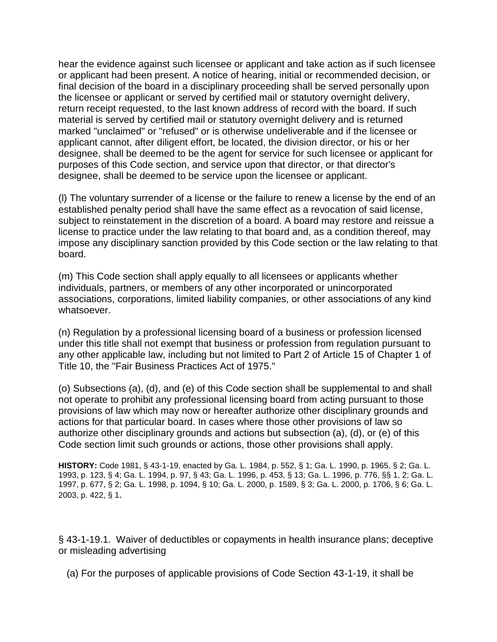hear the evidence against such licensee or applicant and take action as if such licensee or applicant had been present. A notice of hearing, initial or recommended decision, or final decision of the board in a disciplinary proceeding shall be served personally upon the licensee or applicant or served by certified mail or statutory overnight delivery, return receipt requested, to the last known address of record with the board. If such material is served by certified mail or statutory overnight delivery and is returned marked "unclaimed" or "refused" or is otherwise undeliverable and if the licensee or applicant cannot, after diligent effort, be located, the division director, or his or her designee, shall be deemed to be the agent for service for such licensee or applicant for purposes of this Code section, and service upon that director, or that director's designee, shall be deemed to be service upon the licensee or applicant.

(l) The voluntary surrender of a license or the failure to renew a license by the end of an established penalty period shall have the same effect as a revocation of said license, subject to reinstatement in the discretion of a board. A board may restore and reissue a license to practice under the law relating to that board and, as a condition thereof, may impose any disciplinary sanction provided by this Code section or the law relating to that board.

(m) This Code section shall apply equally to all licensees or applicants whether individuals, partners, or members of any other incorporated or unincorporated associations, corporations, limited liability companies, or other associations of any kind whatsoever.

(n) Regulation by a professional licensing board of a business or profession licensed under this title shall not exempt that business or profession from regulation pursuant to any other applicable law, including but not limited to Part 2 of Article 15 of Chapter 1 of Title 10, the "Fair Business Practices Act of 1975."

(o) Subsections (a), (d), and (e) of this Code section shall be supplemental to and shall not operate to prohibit any professional licensing board from acting pursuant to those provisions of law which may now or hereafter authorize other disciplinary grounds and actions for that particular board. In cases where those other provisions of law so authorize other disciplinary grounds and actions but subsection (a), (d), or (e) of this Code section limit such grounds or actions, those other provisions shall apply.

**HISTORY:** Code 1981, § 43-1-19, enacted by Ga. L. 1984, p. 552, § 1; Ga. L. 1990, p. 1965, § 2; Ga. L. 1993, p. 123, § 4; Ga. L. 1994, p. 97, § 43; Ga. L. 1996, p. 453, § 13; Ga. L. 1996, p. 776, §§ 1, 2; Ga. L. 1997, p. 677, § 2; Ga. L. 1998, p. 1094, § 10; Ga. L. 2000, p. 1589, § 3; Ga. L. 2000, p. 1706, § 6; Ga. L. 2003, p. 422, § 1.

§ 43-1-19.1. Waiver of deductibles or copayments in health insurance plans; deceptive or misleading advertising

(a) For the purposes of applicable provisions of Code Section 43-1-19, it shall be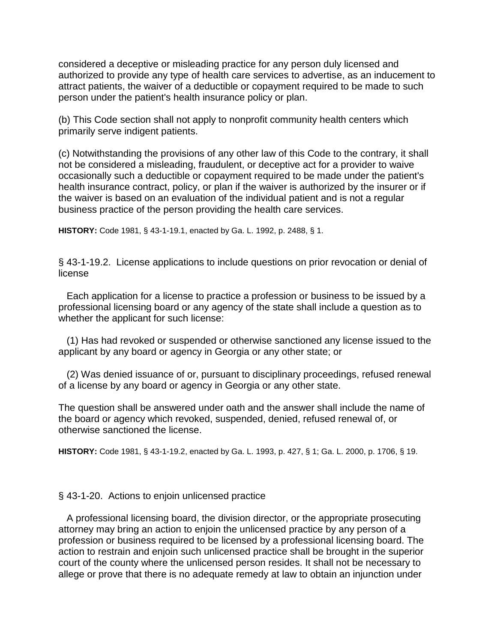considered a deceptive or misleading practice for any person duly licensed and authorized to provide any type of health care services to advertise, as an inducement to attract patients, the waiver of a deductible or copayment required to be made to such person under the patient's health insurance policy or plan.

(b) This Code section shall not apply to nonprofit community health centers which primarily serve indigent patients.

(c) Notwithstanding the provisions of any other law of this Code to the contrary, it shall not be considered a misleading, fraudulent, or deceptive act for a provider to waive occasionally such a deductible or copayment required to be made under the patient's health insurance contract, policy, or plan if the waiver is authorized by the insurer or if the waiver is based on an evaluation of the individual patient and is not a regular business practice of the person providing the health care services.

**HISTORY:** Code 1981, § 43-1-19.1, enacted by Ga. L. 1992, p. 2488, § 1.

§ 43-1-19.2. License applications to include questions on prior revocation or denial of license

 Each application for a license to practice a profession or business to be issued by a professional licensing board or any agency of the state shall include a question as to whether the applicant for such license:

 (1) Has had revoked or suspended or otherwise sanctioned any license issued to the applicant by any board or agency in Georgia or any other state; or

 (2) Was denied issuance of or, pursuant to disciplinary proceedings, refused renewal of a license by any board or agency in Georgia or any other state.

The question shall be answered under oath and the answer shall include the name of the board or agency which revoked, suspended, denied, refused renewal of, or otherwise sanctioned the license.

**HISTORY:** Code 1981, § 43-1-19.2, enacted by Ga. L. 1993, p. 427, § 1; Ga. L. 2000, p. 1706, § 19.

## § 43-1-20. Actions to enjoin unlicensed practice

 A professional licensing board, the division director, or the appropriate prosecuting attorney may bring an action to enjoin the unlicensed practice by any person of a profession or business required to be licensed by a professional licensing board. The action to restrain and enjoin such unlicensed practice shall be brought in the superior court of the county where the unlicensed person resides. It shall not be necessary to allege or prove that there is no adequate remedy at law to obtain an injunction under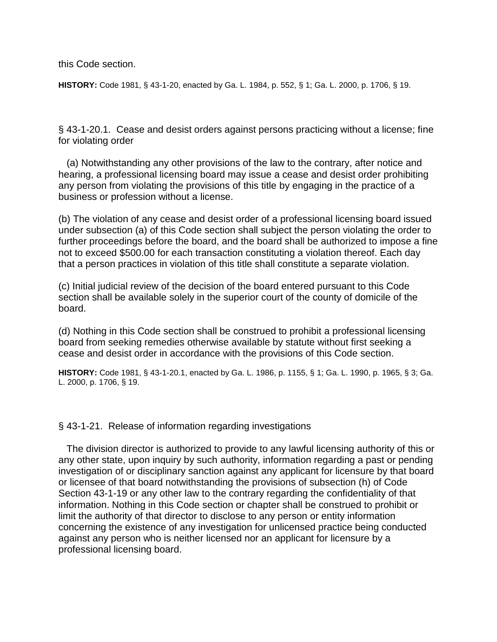this Code section.

**HISTORY:** Code 1981, § 43-1-20, enacted by Ga. L. 1984, p. 552, § 1; Ga. L. 2000, p. 1706, § 19.

§ 43-1-20.1. Cease and desist orders against persons practicing without a license; fine for violating order

 (a) Notwithstanding any other provisions of the law to the contrary, after notice and hearing, a professional licensing board may issue a cease and desist order prohibiting any person from violating the provisions of this title by engaging in the practice of a business or profession without a license.

(b) The violation of any cease and desist order of a professional licensing board issued under subsection (a) of this Code section shall subject the person violating the order to further proceedings before the board, and the board shall be authorized to impose a fine not to exceed \$500.00 for each transaction constituting a violation thereof. Each day that a person practices in violation of this title shall constitute a separate violation.

(c) Initial judicial review of the decision of the board entered pursuant to this Code section shall be available solely in the superior court of the county of domicile of the board.

(d) Nothing in this Code section shall be construed to prohibit a professional licensing board from seeking remedies otherwise available by statute without first seeking a cease and desist order in accordance with the provisions of this Code section.

**HISTORY:** Code 1981, § 43-1-20.1, enacted by Ga. L. 1986, p. 1155, § 1; Ga. L. 1990, p. 1965, § 3; Ga. L. 2000, p. 1706, § 19.

#### § 43-1-21. Release of information regarding investigations

 The division director is authorized to provide to any lawful licensing authority of this or any other state, upon inquiry by such authority, information regarding a past or pending investigation of or disciplinary sanction against any applicant for licensure by that board or licensee of that board notwithstanding the provisions of subsection (h) of Code Section 43-1-19 or any other law to the contrary regarding the confidentiality of that information. Nothing in this Code section or chapter shall be construed to prohibit or limit the authority of that director to disclose to any person or entity information concerning the existence of any investigation for unlicensed practice being conducted against any person who is neither licensed nor an applicant for licensure by a professional licensing board.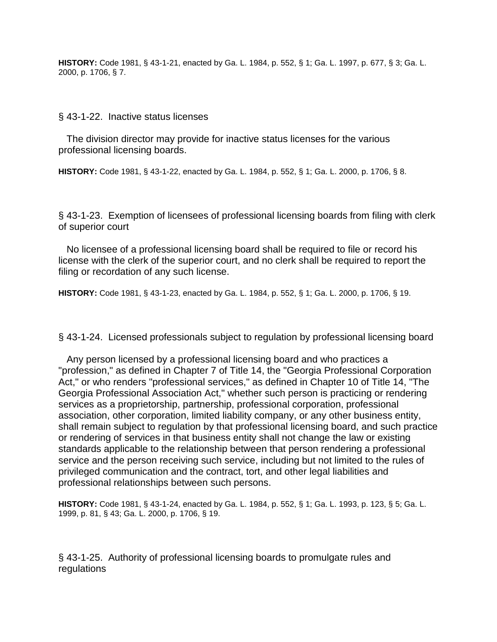**HISTORY:** Code 1981, § 43-1-21, enacted by Ga. L. 1984, p. 552, § 1; Ga. L. 1997, p. 677, § 3; Ga. L. 2000, p. 1706, § 7.

§ 43-1-22. Inactive status licenses

 The division director may provide for inactive status licenses for the various professional licensing boards.

**HISTORY:** Code 1981, § 43-1-22, enacted by Ga. L. 1984, p. 552, § 1; Ga. L. 2000, p. 1706, § 8.

§ 43-1-23. Exemption of licensees of professional licensing boards from filing with clerk of superior court

 No licensee of a professional licensing board shall be required to file or record his license with the clerk of the superior court, and no clerk shall be required to report the filing or recordation of any such license.

**HISTORY:** Code 1981, § 43-1-23, enacted by Ga. L. 1984, p. 552, § 1; Ga. L. 2000, p. 1706, § 19.

§ 43-1-24. Licensed professionals subject to regulation by professional licensing board

 Any person licensed by a professional licensing board and who practices a "profession," as defined in Chapter 7 of Title 14, the "Georgia Professional Corporation Act," or who renders "professional services," as defined in Chapter 10 of Title 14, "The Georgia Professional Association Act," whether such person is practicing or rendering services as a proprietorship, partnership, professional corporation, professional association, other corporation, limited liability company, or any other business entity, shall remain subject to regulation by that professional licensing board, and such practice or rendering of services in that business entity shall not change the law or existing standards applicable to the relationship between that person rendering a professional service and the person receiving such service, including but not limited to the rules of privileged communication and the contract, tort, and other legal liabilities and professional relationships between such persons.

**HISTORY:** Code 1981, § 43-1-24, enacted by Ga. L. 1984, p. 552, § 1; Ga. L. 1993, p. 123, § 5; Ga. L. 1999, p. 81, § 43; Ga. L. 2000, p. 1706, § 19.

§ 43-1-25. Authority of professional licensing boards to promulgate rules and regulations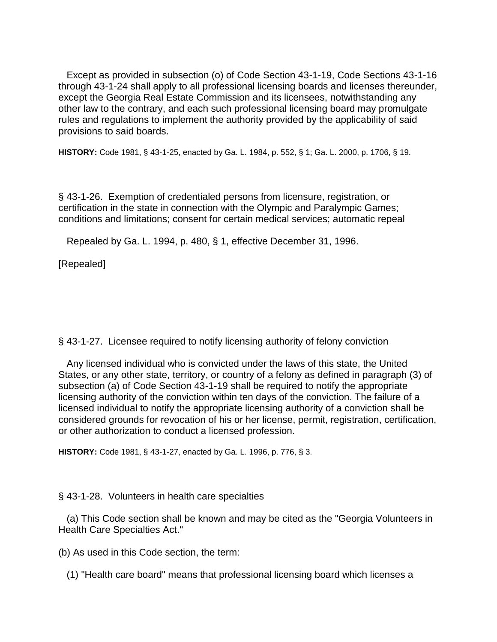Except as provided in subsection (o) of Code Section 43-1-19, Code Sections 43-1-16 through 43-1-24 shall apply to all professional licensing boards and licenses thereunder, except the Georgia Real Estate Commission and its licensees, notwithstanding any other law to the contrary, and each such professional licensing board may promulgate rules and regulations to implement the authority provided by the applicability of said provisions to said boards.

**HISTORY:** Code 1981, § 43-1-25, enacted by Ga. L. 1984, p. 552, § 1; Ga. L. 2000, p. 1706, § 19.

§ 43-1-26. Exemption of credentialed persons from licensure, registration, or certification in the state in connection with the Olympic and Paralympic Games; conditions and limitations; consent for certain medical services; automatic repeal

Repealed by Ga. L. 1994, p. 480, § 1, effective December 31, 1996.

[Repealed]

§ 43-1-27. Licensee required to notify licensing authority of felony conviction

 Any licensed individual who is convicted under the laws of this state, the United States, or any other state, territory, or country of a felony as defined in paragraph (3) of subsection (a) of Code Section 43-1-19 shall be required to notify the appropriate licensing authority of the conviction within ten days of the conviction. The failure of a licensed individual to notify the appropriate licensing authority of a conviction shall be considered grounds for revocation of his or her license, permit, registration, certification, or other authorization to conduct a licensed profession.

**HISTORY:** Code 1981, § 43-1-27, enacted by Ga. L. 1996, p. 776, § 3.

## § 43-1-28. Volunteers in health care specialties

 (a) This Code section shall be known and may be cited as the "Georgia Volunteers in Health Care Specialties Act."

(b) As used in this Code section, the term:

(1) "Health care board" means that professional licensing board which licenses a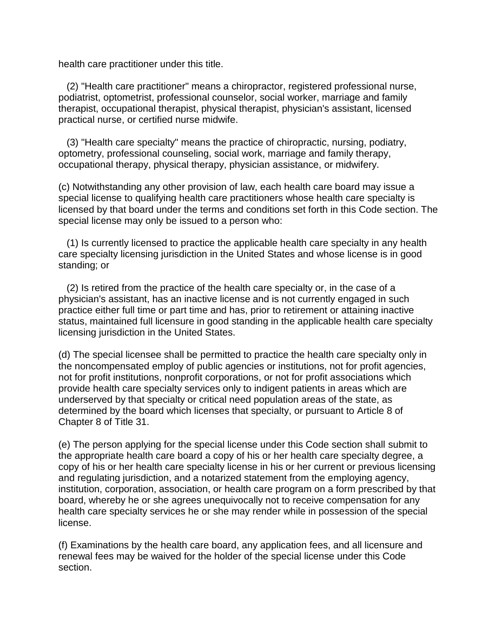health care practitioner under this title.

 (2) "Health care practitioner" means a chiropractor, registered professional nurse, podiatrist, optometrist, professional counselor, social worker, marriage and family therapist, occupational therapist, physical therapist, physician's assistant, licensed practical nurse, or certified nurse midwife.

 (3) "Health care specialty" means the practice of chiropractic, nursing, podiatry, optometry, professional counseling, social work, marriage and family therapy, occupational therapy, physical therapy, physician assistance, or midwifery.

(c) Notwithstanding any other provision of law, each health care board may issue a special license to qualifying health care practitioners whose health care specialty is licensed by that board under the terms and conditions set forth in this Code section. The special license may only be issued to a person who:

 (1) Is currently licensed to practice the applicable health care specialty in any health care specialty licensing jurisdiction in the United States and whose license is in good standing; or

 (2) Is retired from the practice of the health care specialty or, in the case of a physician's assistant, has an inactive license and is not currently engaged in such practice either full time or part time and has, prior to retirement or attaining inactive status, maintained full licensure in good standing in the applicable health care specialty licensing jurisdiction in the United States.

(d) The special licensee shall be permitted to practice the health care specialty only in the noncompensated employ of public agencies or institutions, not for profit agencies, not for profit institutions, nonprofit corporations, or not for profit associations which provide health care specialty services only to indigent patients in areas which are underserved by that specialty or critical need population areas of the state, as determined by the board which licenses that specialty, or pursuant to Article 8 of Chapter 8 of Title 31.

(e) The person applying for the special license under this Code section shall submit to the appropriate health care board a copy of his or her health care specialty degree, a copy of his or her health care specialty license in his or her current or previous licensing and regulating jurisdiction, and a notarized statement from the employing agency, institution, corporation, association, or health care program on a form prescribed by that board, whereby he or she agrees unequivocally not to receive compensation for any health care specialty services he or she may render while in possession of the special license.

(f) Examinations by the health care board, any application fees, and all licensure and renewal fees may be waived for the holder of the special license under this Code section.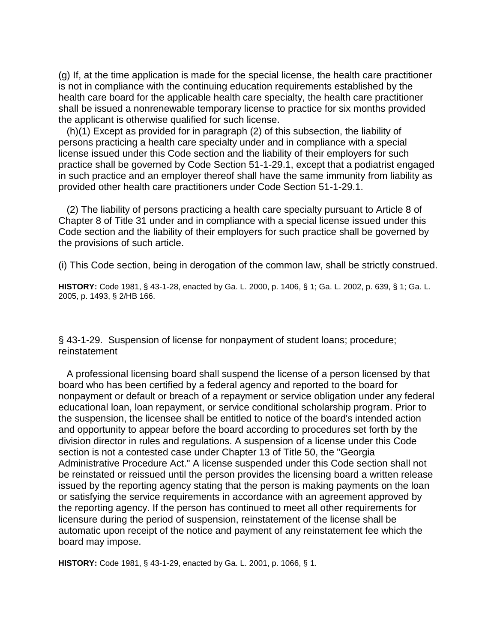(g) If, at the time application is made for the special license, the health care practitioner is not in compliance with the continuing education requirements established by the health care board for the applicable health care specialty, the health care practitioner shall be issued a nonrenewable temporary license to practice for six months provided the applicant is otherwise qualified for such license.

 (h)(1) Except as provided for in paragraph (2) of this subsection, the liability of persons practicing a health care specialty under and in compliance with a special license issued under this Code section and the liability of their employers for such practice shall be governed by Code Section 51-1-29.1, except that a podiatrist engaged in such practice and an employer thereof shall have the same immunity from liability as provided other health care practitioners under Code Section 51-1-29.1.

 (2) The liability of persons practicing a health care specialty pursuant to Article 8 of Chapter 8 of Title 31 under and in compliance with a special license issued under this Code section and the liability of their employers for such practice shall be governed by the provisions of such article.

(i) This Code section, being in derogation of the common law, shall be strictly construed.

**HISTORY:** Code 1981, § 43-1-28, enacted by Ga. L. 2000, p. 1406, § 1; Ga. L. 2002, p. 639, § 1; Ga. L. 2005, p. 1493, § 2/HB 166.

§ 43-1-29. Suspension of license for nonpayment of student loans; procedure; reinstatement

 A professional licensing board shall suspend the license of a person licensed by that board who has been certified by a federal agency and reported to the board for nonpayment or default or breach of a repayment or service obligation under any federal educational loan, loan repayment, or service conditional scholarship program. Prior to the suspension, the licensee shall be entitled to notice of the board's intended action and opportunity to appear before the board according to procedures set forth by the division director in rules and regulations. A suspension of a license under this Code section is not a contested case under Chapter 13 of Title 50, the "Georgia Administrative Procedure Act." A license suspended under this Code section shall not be reinstated or reissued until the person provides the licensing board a written release issued by the reporting agency stating that the person is making payments on the loan or satisfying the service requirements in accordance with an agreement approved by the reporting agency. If the person has continued to meet all other requirements for licensure during the period of suspension, reinstatement of the license shall be automatic upon receipt of the notice and payment of any reinstatement fee which the board may impose.

**HISTORY:** Code 1981, § 43-1-29, enacted by Ga. L. 2001, p. 1066, § 1.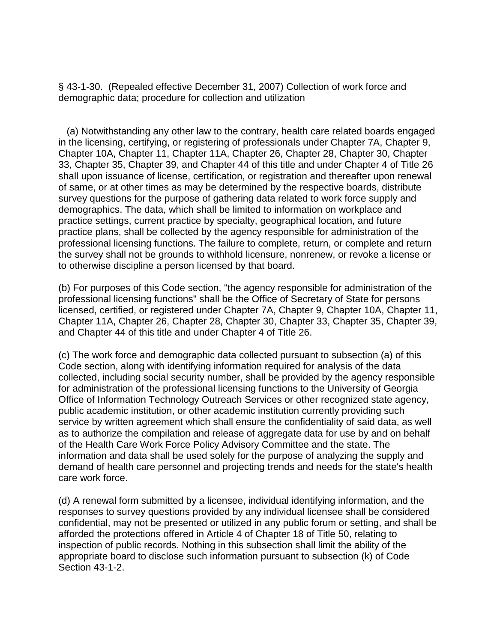§ 43-1-30. (Repealed effective December 31, 2007) Collection of work force and demographic data; procedure for collection and utilization

 (a) Notwithstanding any other law to the contrary, health care related boards engaged in the licensing, certifying, or registering of professionals under Chapter 7A, Chapter 9, Chapter 10A, Chapter 11, Chapter 11A, Chapter 26, Chapter 28, Chapter 30, Chapter 33, Chapter 35, Chapter 39, and Chapter 44 of this title and under Chapter 4 of Title 26 shall upon issuance of license, certification, or registration and thereafter upon renewal of same, or at other times as may be determined by the respective boards, distribute survey questions for the purpose of gathering data related to work force supply and demographics. The data, which shall be limited to information on workplace and practice settings, current practice by specialty, geographical location, and future practice plans, shall be collected by the agency responsible for administration of the professional licensing functions. The failure to complete, return, or complete and return the survey shall not be grounds to withhold licensure, nonrenew, or revoke a license or to otherwise discipline a person licensed by that board.

(b) For purposes of this Code section, "the agency responsible for administration of the professional licensing functions" shall be the Office of Secretary of State for persons licensed, certified, or registered under Chapter 7A, Chapter 9, Chapter 10A, Chapter 11, Chapter 11A, Chapter 26, Chapter 28, Chapter 30, Chapter 33, Chapter 35, Chapter 39, and Chapter 44 of this title and under Chapter 4 of Title 26.

(c) The work force and demographic data collected pursuant to subsection (a) of this Code section, along with identifying information required for analysis of the data collected, including social security number, shall be provided by the agency responsible for administration of the professional licensing functions to the University of Georgia Office of Information Technology Outreach Services or other recognized state agency, public academic institution, or other academic institution currently providing such service by written agreement which shall ensure the confidentiality of said data, as well as to authorize the compilation and release of aggregate data for use by and on behalf of the Health Care Work Force Policy Advisory Committee and the state. The information and data shall be used solely for the purpose of analyzing the supply and demand of health care personnel and projecting trends and needs for the state's health care work force.

(d) A renewal form submitted by a licensee, individual identifying information, and the responses to survey questions provided by any individual licensee shall be considered confidential, may not be presented or utilized in any public forum or setting, and shall be afforded the protections offered in Article 4 of Chapter 18 of Title 50, relating to inspection of public records. Nothing in this subsection shall limit the ability of the appropriate board to disclose such information pursuant to subsection (k) of Code Section 43-1-2.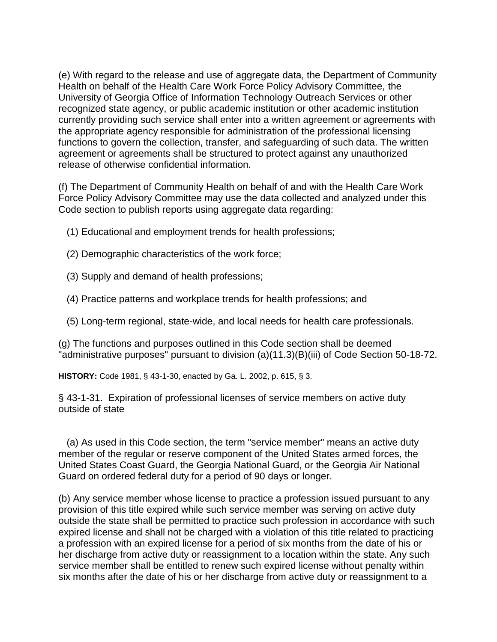(e) With regard to the release and use of aggregate data, the Department of Community Health on behalf of the Health Care Work Force Policy Advisory Committee, the University of Georgia Office of Information Technology Outreach Services or other recognized state agency, or public academic institution or other academic institution currently providing such service shall enter into a written agreement or agreements with the appropriate agency responsible for administration of the professional licensing functions to govern the collection, transfer, and safeguarding of such data. The written agreement or agreements shall be structured to protect against any unauthorized release of otherwise confidential information.

(f) The Department of Community Health on behalf of and with the Health Care Work Force Policy Advisory Committee may use the data collected and analyzed under this Code section to publish reports using aggregate data regarding:

- (1) Educational and employment trends for health professions;
- (2) Demographic characteristics of the work force;
- (3) Supply and demand of health professions;
- (4) Practice patterns and workplace trends for health professions; and
- (5) Long-term regional, state-wide, and local needs for health care professionals.

(g) The functions and purposes outlined in this Code section shall be deemed "administrative purposes" pursuant to division (a)(11.3)(B)(iii) of Code Section 50-18-72.

**HISTORY:** Code 1981, § 43-1-30, enacted by Ga. L. 2002, p. 615, § 3.

§ 43-1-31. Expiration of professional licenses of service members on active duty outside of state

 (a) As used in this Code section, the term "service member" means an active duty member of the regular or reserve component of the United States armed forces, the United States Coast Guard, the Georgia National Guard, or the Georgia Air National Guard on ordered federal duty for a period of 90 days or longer.

(b) Any service member whose license to practice a profession issued pursuant to any provision of this title expired while such service member was serving on active duty outside the state shall be permitted to practice such profession in accordance with such expired license and shall not be charged with a violation of this title related to practicing a profession with an expired license for a period of six months from the date of his or her discharge from active duty or reassignment to a location within the state. Any such service member shall be entitled to renew such expired license without penalty within six months after the date of his or her discharge from active duty or reassignment to a